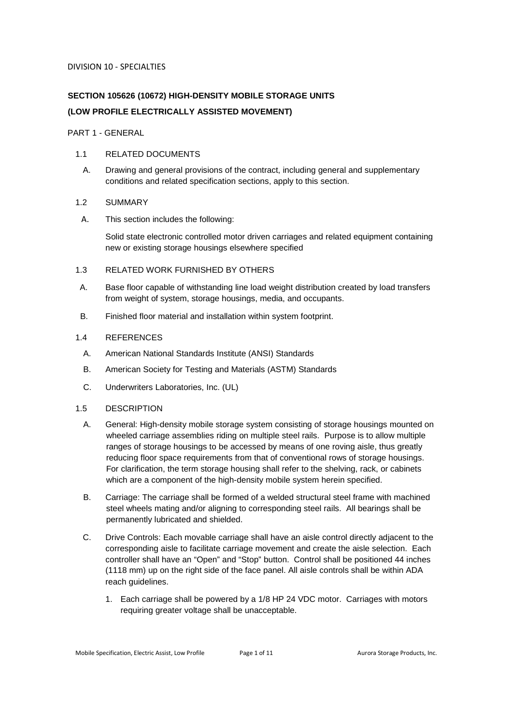# **SECTION 105626 (10672) HIGH-DENSITY MOBILE STORAGE UNITS (LOW PROFILE ELECTRICALLY ASSISTED MOVEMENT)**

PART 1 - GENERAL

# 1.1 RELATED DOCUMENTS

A. Drawing and general provisions of the contract, including general and supplementary conditions and related specification sections, apply to this section.

# 1.2 SUMMARY

A. This section includes the following:

Solid state electronic controlled motor driven carriages and related equipment containing new or existing storage housings elsewhere specified

# 1.3 RELATED WORK FURNISHED BY OTHERS

- A. Base floor capable of withstanding line load weight distribution created by load transfers from weight of system, storage housings, media, and occupants.
- B. Finished floor material and installation within system footprint.

# 1.4 REFERENCES

- A. American National Standards Institute (ANSI) Standards
- B. American Society for Testing and Materials (ASTM) Standards
- C. Underwriters Laboratories, Inc. (UL)

## 1.5 DESCRIPTION

- A. General: High-density mobile storage system consisting of storage housings mounted on wheeled carriage assemblies riding on multiple steel rails. Purpose is to allow multiple ranges of storage housings to be accessed by means of one roving aisle, thus greatly reducing floor space requirements from that of conventional rows of storage housings. For clarification, the term storage housing shall refer to the shelving, rack, or cabinets which are a component of the high-density mobile system herein specified.
- B. Carriage: The carriage shall be formed of a welded structural steel frame with machined steel wheels mating and/or aligning to corresponding steel rails. All bearings shall be permanently lubricated and shielded.
- C. Drive Controls: Each movable carriage shall have an aisle control directly adjacent to the corresponding aisle to facilitate carriage movement and create the aisle selection. Each controller shall have an "Open" and "Stop" button. Control shall be positioned 44 inches (1118 mm) up on the right side of the face panel. All aisle controls shall be within ADA reach guidelines.
	- 1. Each carriage shall be powered by a 1/8 HP 24 VDC motor. Carriages with motors requiring greater voltage shall be unacceptable.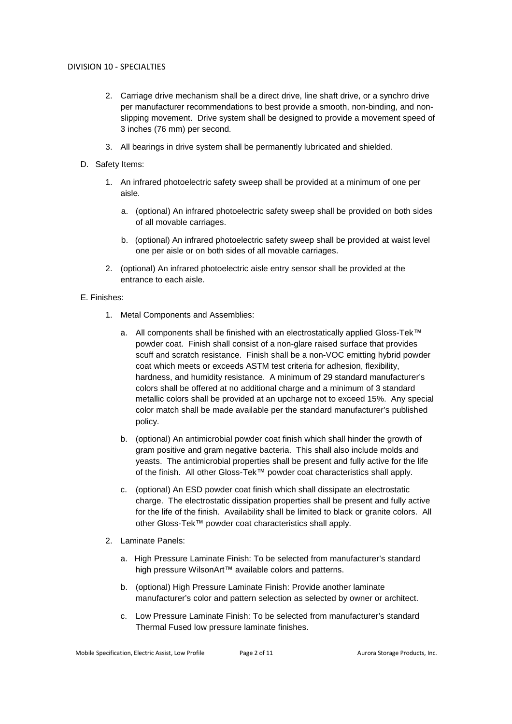- 2. Carriage drive mechanism shall be a direct drive, line shaft drive, or a synchro drive per manufacturer recommendations to best provide a smooth, non-binding, and nonslipping movement. Drive system shall be designed to provide a movement speed of 3 inches (76 mm) per second.
- 3. All bearings in drive system shall be permanently lubricated and shielded.
- D. Safety Items:
	- 1. An infrared photoelectric safety sweep shall be provided at a minimum of one per aisle.
		- a. (optional) An infrared photoelectric safety sweep shall be provided on both sides of all movable carriages.
		- b. (optional) An infrared photoelectric safety sweep shall be provided at waist level one per aisle or on both sides of all movable carriages.
	- 2. (optional) An infrared photoelectric aisle entry sensor shall be provided at the entrance to each aisle.

## E. Finishes:

- 1. Metal Components and Assemblies:
	- a. All components shall be finished with an electrostatically applied Gloss-Tek™ powder coat. Finish shall consist of a non-glare raised surface that provides scuff and scratch resistance. Finish shall be a non-VOC emitting hybrid powder coat which meets or exceeds ASTM test criteria for adhesion, flexibility, hardness, and humidity resistance. A minimum of 29 standard manufacturer's colors shall be offered at no additional charge and a minimum of 3 standard metallic colors shall be provided at an upcharge not to exceed 15%. Any special color match shall be made available per the standard manufacturer's published policy.
	- b. (optional) An antimicrobial powder coat finish which shall hinder the growth of gram positive and gram negative bacteria. This shall also include molds and yeasts. The antimicrobial properties shall be present and fully active for the life of the finish. All other Gloss-Tek™ powder coat characteristics shall apply.
	- c. (optional) An ESD powder coat finish which shall dissipate an electrostatic charge. The electrostatic dissipation properties shall be present and fully active for the life of the finish. Availability shall be limited to black or granite colors. All other Gloss-Tek™ powder coat characteristics shall apply.
- 2. Laminate Panels:
	- a. High Pressure Laminate Finish: To be selected from manufacturer's standard high pressure WilsonArt™ available colors and patterns.
	- b. (optional) High Pressure Laminate Finish: Provide another laminate manufacturer's color and pattern selection as selected by owner or architect.
	- c. Low Pressure Laminate Finish: To be selected from manufacturer's standard Thermal Fused low pressure laminate finishes.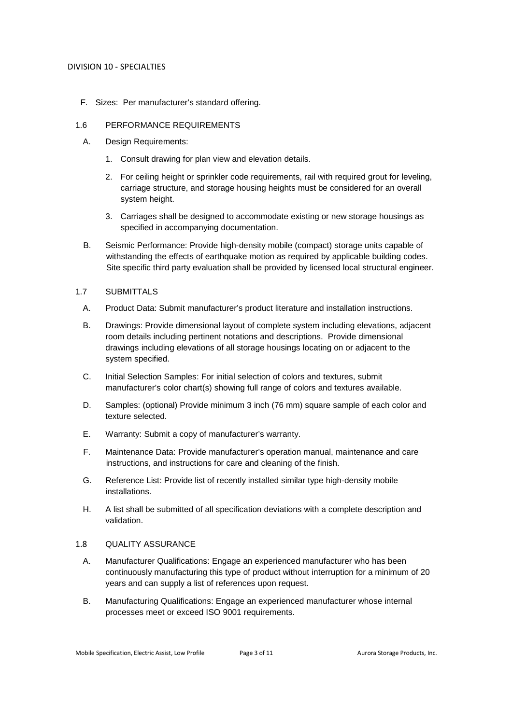F. Sizes: Per manufacturer's standard offering.

## 1.6 PERFORMANCE REQUIREMENTS

- A. Design Requirements:
	- 1. Consult drawing for plan view and elevation details.
	- 2. For ceiling height or sprinkler code requirements, rail with required grout for leveling, carriage structure, and storage housing heights must be considered for an overall system height.
	- 3. Carriages shall be designed to accommodate existing or new storage housings as specified in accompanying documentation.
- B. Seismic Performance: Provide high-density mobile (compact) storage units capable of withstanding the effects of earthquake motion as required by applicable building codes. Site specific third party evaluation shall be provided by licensed local structural engineer.

## 1.7 SUBMITTALS

- A. Product Data: Submit manufacturer's product literature and installation instructions.
- B. Drawings: Provide dimensional layout of complete system including elevations, adjacent room details including pertinent notations and descriptions. Provide dimensional drawings including elevations of all storage housings locating on or adjacent to the system specified.
- C. Initial Selection Samples: For initial selection of colors and textures, submit manufacturer's color chart(s) showing full range of colors and textures available.
- D. Samples: (optional) Provide minimum 3 inch (76 mm) square sample of each color and texture selected.
- E. Warranty: Submit a copy of manufacturer's warranty.
- F. Maintenance Data: Provide manufacturer's operation manual, maintenance and care instructions, and instructions for care and cleaning of the finish.
- G. Reference List: Provide list of recently installed similar type high-density mobile installations.
- H. A list shall be submitted of all specification deviations with a complete description and validation.

## 1.8 QUALITY ASSURANCE

- A. Manufacturer Qualifications: Engage an experienced manufacturer who has been continuously manufacturing this type of product without interruption for a minimum of 20 years and can supply a list of references upon request.
- B. Manufacturing Qualifications: Engage an experienced manufacturer whose internal processes meet or exceed ISO 9001 requirements.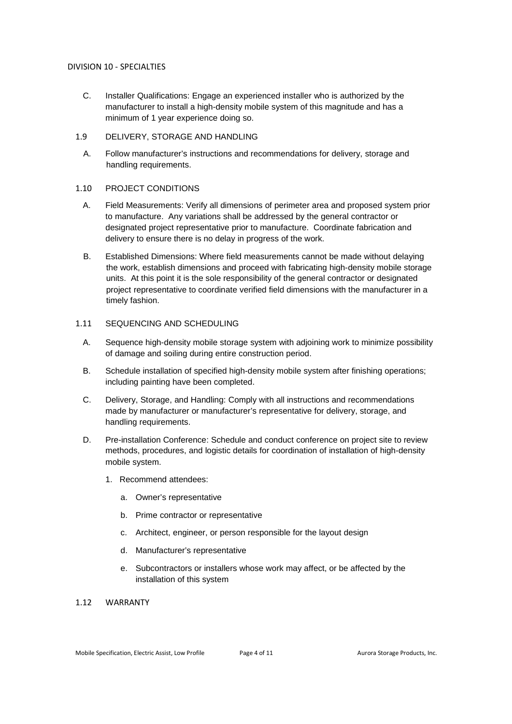- C. Installer Qualifications: Engage an experienced installer who is authorized by the manufacturer to install a high-density mobile system of this magnitude and has a minimum of 1 year experience doing so.
- 1.9 DELIVERY, STORAGE AND HANDLING
	- A. Follow manufacturer's instructions and recommendations for delivery, storage and handling requirements.

## 1.10 PROJECT CONDITIONS

- A. Field Measurements: Verify all dimensions of perimeter area and proposed system prior to manufacture. Any variations shall be addressed by the general contractor or designated project representative prior to manufacture. Coordinate fabrication and delivery to ensure there is no delay in progress of the work.
- B. Established Dimensions: Where field measurements cannot be made without delaying the work, establish dimensions and proceed with fabricating high-density mobile storage units. At this point it is the sole responsibility of the general contractor or designated project representative to coordinate verified field dimensions with the manufacturer in a timely fashion.

## 1.11 SEQUENCING AND SCHEDULING

- A. Sequence high-density mobile storage system with adjoining work to minimize possibility of damage and soiling during entire construction period.
- B. Schedule installation of specified high-density mobile system after finishing operations; including painting have been completed.
- C. Delivery, Storage, and Handling: Comply with all instructions and recommendations made by manufacturer or manufacturer's representative for delivery, storage, and handling requirements.
- D. Pre-installation Conference: Schedule and conduct conference on project site to review methods, procedures, and logistic details for coordination of installation of high-density mobile system.
	- 1. Recommend attendees:
		- a. Owner's representative
		- b. Prime contractor or representative
		- c. Architect, engineer, or person responsible for the layout design
		- d. Manufacturer's representative
		- e. Subcontractors or installers whose work may affect, or be affected by the installation of this system

# 1.12 WARRANTY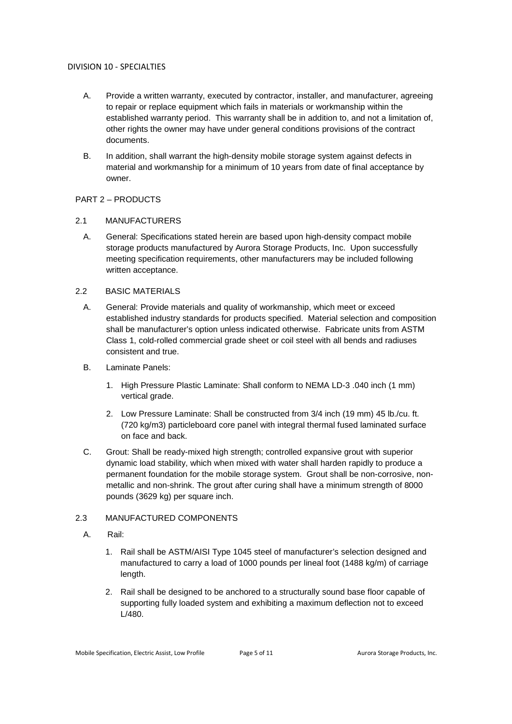- A. Provide a written warranty, executed by contractor, installer, and manufacturer, agreeing to repair or replace equipment which fails in materials or workmanship within the established warranty period. This warranty shall be in addition to, and not a limitation of, other rights the owner may have under general conditions provisions of the contract documents.
- B. In addition, shall warrant the high-density mobile storage system against defects in material and workmanship for a minimum of 10 years from date of final acceptance by owner.

## PART 2 – PRODUCTS

## 2.1 MANUFACTURERS

A. General: Specifications stated herein are based upon high-density compact mobile storage products manufactured by Aurora Storage Products, Inc. Upon successfully meeting specification requirements, other manufacturers may be included following written acceptance.

## 2.2 BASIC MATERIALS

- A. General: Provide materials and quality of workmanship, which meet or exceed established industry standards for products specified. Material selection and composition shall be manufacturer's option unless indicated otherwise. Fabricate units from ASTM Class 1, cold-rolled commercial grade sheet or coil steel with all bends and radiuses consistent and true.
- B. Laminate Panels:
	- 1. High Pressure Plastic Laminate: Shall conform to NEMA LD-3 .040 inch (1 mm) vertical grade.
	- 2. Low Pressure Laminate: Shall be constructed from 3/4 inch (19 mm) 45 lb./cu. ft. (720 kg/m3) particleboard core panel with integral thermal fused laminated surface on face and back.
- C. Grout: Shall be ready-mixed high strength; controlled expansive grout with superior dynamic load stability, which when mixed with water shall harden rapidly to produce a permanent foundation for the mobile storage system. Grout shall be non-corrosive, nonmetallic and non-shrink. The grout after curing shall have a minimum strength of 8000 pounds (3629 kg) per square inch.

# 2.3 MANUFACTURED COMPONENTS

- A. Rail:
	- 1. Rail shall be ASTM/AISI Type 1045 steel of manufacturer's selection designed and manufactured to carry a load of 1000 pounds per lineal foot (1488 kg/m) of carriage length.
	- 2. Rail shall be designed to be anchored to a structurally sound base floor capable of supporting fully loaded system and exhibiting a maximum deflection not to exceed L/480.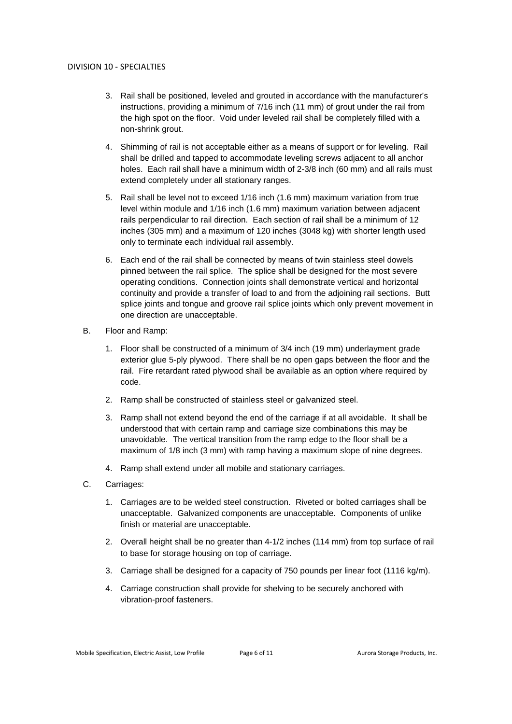- 3. Rail shall be positioned, leveled and grouted in accordance with the manufacturer's instructions, providing a minimum of 7/16 inch (11 mm) of grout under the rail from the high spot on the floor. Void under leveled rail shall be completely filled with a non-shrink grout.
- 4. Shimming of rail is not acceptable either as a means of support or for leveling. Rail shall be drilled and tapped to accommodate leveling screws adjacent to all anchor holes. Each rail shall have a minimum width of 2-3/8 inch (60 mm) and all rails must extend completely under all stationary ranges.
- 5. Rail shall be level not to exceed 1/16 inch (1.6 mm) maximum variation from true level within module and 1/16 inch (1.6 mm) maximum variation between adjacent rails perpendicular to rail direction. Each section of rail shall be a minimum of 12 inches (305 mm) and a maximum of 120 inches (3048 kg) with shorter length used only to terminate each individual rail assembly.
- 6. Each end of the rail shall be connected by means of twin stainless steel dowels pinned between the rail splice. The splice shall be designed for the most severe operating conditions. Connection joints shall demonstrate vertical and horizontal continuity and provide a transfer of load to and from the adjoining rail sections. Butt splice joints and tongue and groove rail splice joints which only prevent movement in one direction are unacceptable.
- B. Floor and Ramp:
	- 1. Floor shall be constructed of a minimum of 3/4 inch (19 mm) underlayment grade exterior glue 5-ply plywood. There shall be no open gaps between the floor and the rail. Fire retardant rated plywood shall be available as an option where required by code.
	- 2. Ramp shall be constructed of stainless steel or galvanized steel.
	- 3. Ramp shall not extend beyond the end of the carriage if at all avoidable. It shall be understood that with certain ramp and carriage size combinations this may be unavoidable. The vertical transition from the ramp edge to the floor shall be a maximum of 1/8 inch (3 mm) with ramp having a maximum slope of nine degrees.
	- 4. Ramp shall extend under all mobile and stationary carriages.
- C. Carriages:
	- 1. Carriages are to be welded steel construction. Riveted or bolted carriages shall be unacceptable. Galvanized components are unacceptable. Components of unlike finish or material are unacceptable.
	- 2. Overall height shall be no greater than 4-1/2 inches (114 mm) from top surface of rail to base for storage housing on top of carriage.
	- 3. Carriage shall be designed for a capacity of 750 pounds per linear foot (1116 kg/m).
	- 4. Carriage construction shall provide for shelving to be securely anchored with vibration-proof fasteners.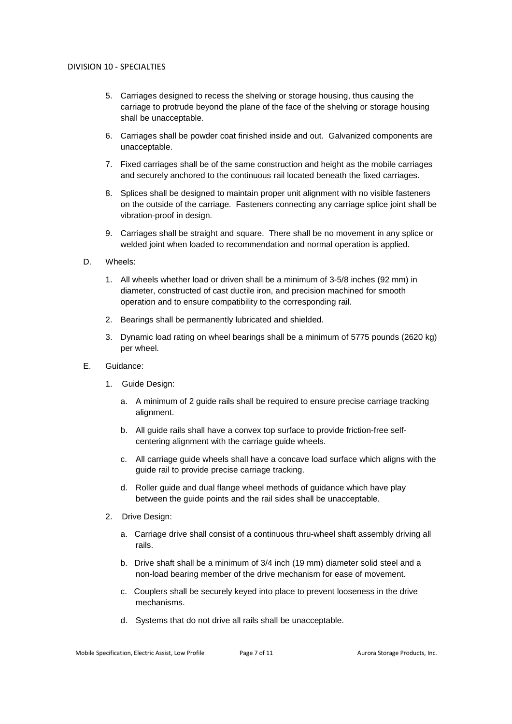- 5. Carriages designed to recess the shelving or storage housing, thus causing the carriage to protrude beyond the plane of the face of the shelving or storage housing shall be unacceptable.
- 6. Carriages shall be powder coat finished inside and out. Galvanized components are unacceptable.
- 7. Fixed carriages shall be of the same construction and height as the mobile carriages and securely anchored to the continuous rail located beneath the fixed carriages.
- 8. Splices shall be designed to maintain proper unit alignment with no visible fasteners on the outside of the carriage. Fasteners connecting any carriage splice joint shall be vibration-proof in design.
- 9. Carriages shall be straight and square. There shall be no movement in any splice or welded joint when loaded to recommendation and normal operation is applied.
- D. Wheels:
	- 1. All wheels whether load or driven shall be a minimum of 3-5/8 inches (92 mm) in diameter, constructed of cast ductile iron, and precision machined for smooth operation and to ensure compatibility to the corresponding rail.
	- 2. Bearings shall be permanently lubricated and shielded.
	- 3. Dynamic load rating on wheel bearings shall be a minimum of 5775 pounds (2620 kg) per wheel.
- E. Guidance:
	- 1. Guide Design:
		- a. A minimum of 2 guide rails shall be required to ensure precise carriage tracking alignment.
		- b. All guide rails shall have a convex top surface to provide friction-free selfcentering alignment with the carriage guide wheels.
		- c. All carriage guide wheels shall have a concave load surface which aligns with the guide rail to provide precise carriage tracking.
		- d. Roller guide and dual flange wheel methods of guidance which have play between the guide points and the rail sides shall be unacceptable.
	- 2. Drive Design:
		- a. Carriage drive shall consist of a continuous thru-wheel shaft assembly driving all rails.
		- b. Drive shaft shall be a minimum of 3/4 inch (19 mm) diameter solid steel and a non-load bearing member of the drive mechanism for ease of movement.
		- c. Couplers shall be securely keyed into place to prevent looseness in the drive mechanisms.
		- d. Systems that do not drive all rails shall be unacceptable.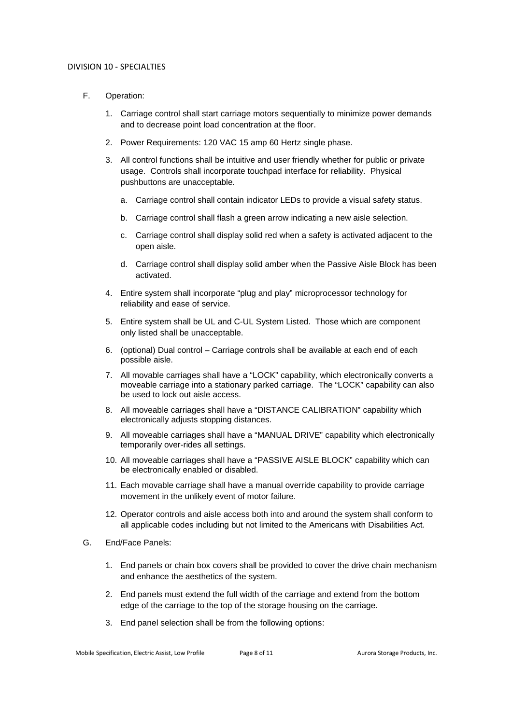- F. Operation:
	- 1. Carriage control shall start carriage motors sequentially to minimize power demands and to decrease point load concentration at the floor.
	- 2. Power Requirements: 120 VAC 15 amp 60 Hertz single phase.
	- 3. All control functions shall be intuitive and user friendly whether for public or private usage. Controls shall incorporate touchpad interface for reliability. Physical pushbuttons are unacceptable.
		- a. Carriage control shall contain indicator LEDs to provide a visual safety status.
		- b. Carriage control shall flash a green arrow indicating a new aisle selection.
		- c. Carriage control shall display solid red when a safety is activated adjacent to the open aisle.
		- d. Carriage control shall display solid amber when the Passive Aisle Block has been activated.
	- 4. Entire system shall incorporate "plug and play" microprocessor technology for reliability and ease of service.
	- 5. Entire system shall be UL and C-UL System Listed. Those which are component only listed shall be unacceptable.
	- 6. (optional) Dual control Carriage controls shall be available at each end of each possible aisle.
	- 7. All movable carriages shall have a "LOCK" capability, which electronically converts a moveable carriage into a stationary parked carriage. The "LOCK" capability can also be used to lock out aisle access.
	- 8. All moveable carriages shall have a "DISTANCE CALIBRATION" capability which electronically adjusts stopping distances.
	- 9. All moveable carriages shall have a "MANUAL DRIVE" capability which electronically temporarily over-rides all settings.
	- 10. All moveable carriages shall have a "PASSIVE AISLE BLOCK" capability which can be electronically enabled or disabled.
	- 11. Each movable carriage shall have a manual override capability to provide carriage movement in the unlikely event of motor failure.
	- 12. Operator controls and aisle access both into and around the system shall conform to all applicable codes including but not limited to the Americans with Disabilities Act.
- G. End/Face Panels:
	- 1. End panels or chain box covers shall be provided to cover the drive chain mechanism and enhance the aesthetics of the system.
	- 2. End panels must extend the full width of the carriage and extend from the bottom edge of the carriage to the top of the storage housing on the carriage.
	- 3. End panel selection shall be from the following options: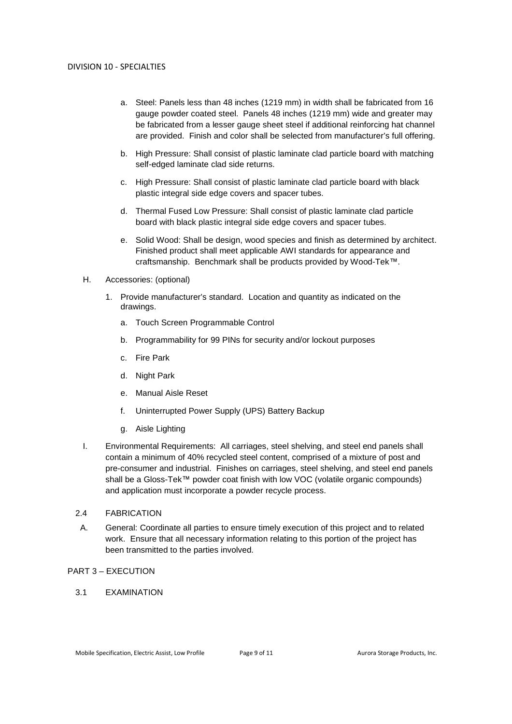- a. Steel: Panels less than 48 inches (1219 mm) in width shall be fabricated from 16 gauge powder coated steel. Panels 48 inches (1219 mm) wide and greater may be fabricated from a lesser gauge sheet steel if additional reinforcing hat channel are provided. Finish and color shall be selected from manufacturer's full offering.
- b. High Pressure: Shall consist of plastic laminate clad particle board with matching self-edged laminate clad side returns.
- c. High Pressure: Shall consist of plastic laminate clad particle board with black plastic integral side edge covers and spacer tubes.
- d. Thermal Fused Low Pressure: Shall consist of plastic laminate clad particle board with black plastic integral side edge covers and spacer tubes.
- e. Solid Wood: Shall be design, wood species and finish as determined by architect. Finished product shall meet applicable AWI standards for appearance and craftsmanship. Benchmark shall be products provided by Wood-Tek™.
- H. Accessories: (optional)
	- 1. Provide manufacturer's standard. Location and quantity as indicated on the drawings.
		- a. Touch Screen Programmable Control
		- b. Programmability for 99 PINs for security and/or lockout purposes
		- c. Fire Park
		- d. Night Park
		- e. Manual Aisle Reset
		- f. Uninterrupted Power Supply (UPS) Battery Backup
		- g. Aisle Lighting
- I. Environmental Requirements: All carriages, steel shelving, and steel end panels shall contain a minimum of 40% recycled steel content, comprised of a mixture of post and pre-consumer and industrial. Finishes on carriages, steel shelving, and steel end panels shall be a Gloss-Tek™ powder coat finish with low VOC (volatile organic compounds) and application must incorporate a powder recycle process.
- 2.4 FABRICATION
- A. General: Coordinate all parties to ensure timely execution of this project and to related work. Ensure that all necessary information relating to this portion of the project has been transmitted to the parties involved.

## PART 3 – EXECUTION

3.1 EXAMINATION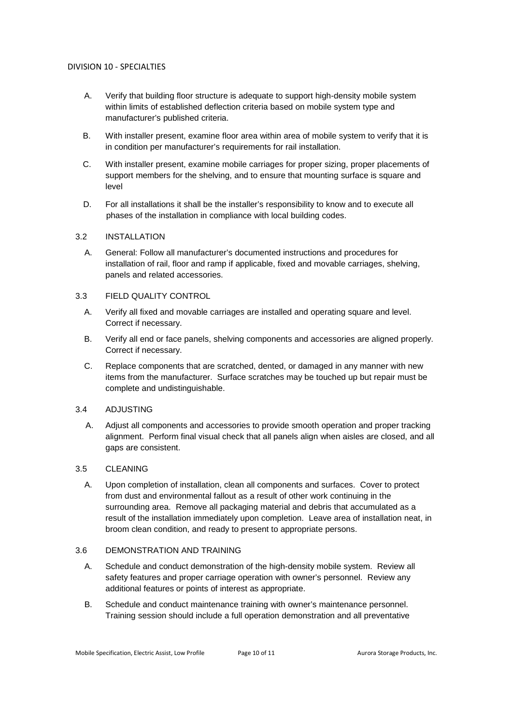- A. Verify that building floor structure is adequate to support high-density mobile system within limits of established deflection criteria based on mobile system type and manufacturer's published criteria.
- B. With installer present, examine floor area within area of mobile system to verify that it is in condition per manufacturer's requirements for rail installation.
- C. With installer present, examine mobile carriages for proper sizing, proper placements of support members for the shelving, and to ensure that mounting surface is square and level
- D. For all installations it shall be the installer's responsibility to know and to execute all phases of the installation in compliance with local building codes.

## 3.2 INSTALLATION

A. General: Follow all manufacturer's documented instructions and procedures for installation of rail, floor and ramp if applicable, fixed and movable carriages, shelving, panels and related accessories.

## 3.3 FIELD QUALITY CONTROL

- A. Verify all fixed and movable carriages are installed and operating square and level. Correct if necessary.
- B. Verify all end or face panels, shelving components and accessories are aligned properly. Correct if necessary.
- C. Replace components that are scratched, dented, or damaged in any manner with new items from the manufacturer. Surface scratches may be touched up but repair must be complete and undistinguishable.

## 3.4 ADJUSTING

A. Adjust all components and accessories to provide smooth operation and proper tracking alignment. Perform final visual check that all panels align when aisles are closed, and all gaps are consistent.

## 3.5 CLEANING

A. Upon completion of installation, clean all components and surfaces. Cover to protect from dust and environmental fallout as a result of other work continuing in the surrounding area. Remove all packaging material and debris that accumulated as a result of the installation immediately upon completion. Leave area of installation neat, in broom clean condition, and ready to present to appropriate persons.

#### 3.6 DEMONSTRATION AND TRAINING

- A. Schedule and conduct demonstration of the high-density mobile system. Review all safety features and proper carriage operation with owner's personnel. Review any additional features or points of interest as appropriate.
- B. Schedule and conduct maintenance training with owner's maintenance personnel. Training session should include a full operation demonstration and all preventative